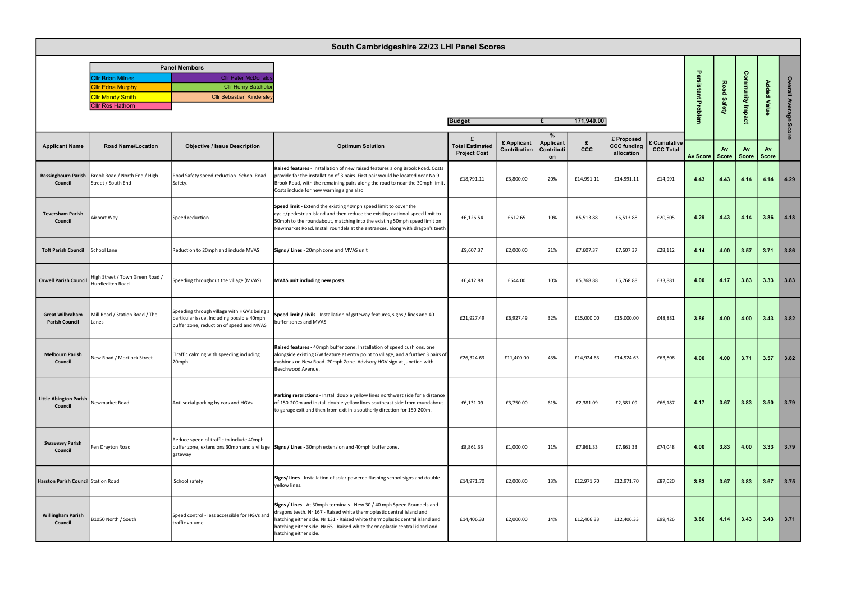| <b>Panel Members</b>     |                                  |  |  |  |  |  |  |  |  |
|--------------------------|----------------------------------|--|--|--|--|--|--|--|--|
| <b>Cllr Brian Milnes</b> | <b>Cllr Peter McDonalds</b>      |  |  |  |  |  |  |  |  |
| <b>Cllr Edna Murphy</b>  | <b>Cllr Henry Batchelor</b>      |  |  |  |  |  |  |  |  |
| <b>Cllr Mandy Smith</b>  | <b>Cllr Sebastian Kindersley</b> |  |  |  |  |  |  |  |  |
| <b>ICllr Ros Hathorn</b> |                                  |  |  |  |  |  |  |  |  |

| South Cambridgeshire 22/23 LHI Panel Scores     |                                                                              |                                                                                                                                       |                                                                                                                                                                                                                                                                                                                                          |                                               |                             |                                    |            |                                                |                                       |                   |                    |                            |                    |                 |
|-------------------------------------------------|------------------------------------------------------------------------------|---------------------------------------------------------------------------------------------------------------------------------------|------------------------------------------------------------------------------------------------------------------------------------------------------------------------------------------------------------------------------------------------------------------------------------------------------------------------------------------|-----------------------------------------------|-----------------------------|------------------------------------|------------|------------------------------------------------|---------------------------------------|-------------------|--------------------|----------------------------|--------------------|-----------------|
|                                                 | <b>Cllr Brian Milnes</b><br><b>Ir Edna Murphy</b><br><b>Cllr Mandy Smith</b> | <b>Panel Members</b><br><b>Cllr Peter McDonal</b><br><b>Cllr Henry Batcheld</b><br><b>Cllr Sebastian Kindersle</b>                    |                                                                                                                                                                                                                                                                                                                                          |                                               |                             |                                    |            |                                                |                                       | $\mathbf{r}$<br>꽃 | Road               | <b>Community Imp</b>       | <b>Added Value</b> | Overall Average |
|                                                 | <b>Cllr Ros Hathorn</b><br>171,940.00<br><b>Budget</b>                       |                                                                                                                                       |                                                                                                                                                                                                                                                                                                                                          |                                               |                             |                                    |            | Safety                                         |                                       |                   |                    |                            |                    |                 |
| <b>Applicant Name</b>                           | <b>Road Name/Location</b>                                                    | <b>Objective / Issue Description</b>                                                                                                  | <b>Optimum Solution</b>                                                                                                                                                                                                                                                                                                                  | <b>Total Estimated</b><br><b>Project Cost</b> | £ Applicant<br>Contribution | %<br>Applicant<br>Contributi<br>on | ccc        | £ Proposed<br><b>CCC funding</b><br>allocation | <b>Cumulative</b><br><b>CCC Total</b> | <b>Av Score</b>   | <b>Av</b><br>Score | <b>Av</b><br>Score   Score | Av                 | Score           |
| Council                                         | Bassingbourn Parish   Brook Road / North End / High<br>Street / South End    | Road Safety speed reduction- School Road<br>Safety.                                                                                   | Raised features - Installation of new raised features along Brook Road. Costs<br>provide for the installation of 3 pairs. First pair would be located near No 9<br>Brook Road, with the remaining pairs along the road to near the 30mph limit.<br>Costs include for new warning signs also.                                             | £18,791.11                                    | £3,800.00                   | 20%                                | £14,991.11 | £14,991.11                                     | £14,991                               | 4.43              | 4.43               | 4.14                       | 4.14               | 4.29            |
| <b>Teversham Parish</b><br>Council              | Airport Way                                                                  | Speed reduction                                                                                                                       | Speed limit - Extend the existing 40mph speed limit to cover the<br>cycle/pedestrian island and then reduce the existing national speed limit to<br>50mph to the roundabout, matching into the existing 50mph speed limit on<br>Newmarket Road. Install roundels at the entrances, along with dragon's teeth                             | £6,126.54                                     | £612.65                     | 10%                                | £5,513.88  | £5,513.88                                      | £20,505                               | 4.29              | 4.43               | 4.14                       | 3.86               | 4.18            |
| Toft Parish Council School Lane                 |                                                                              | Reduction to 20mph and include MVAS                                                                                                   | Signs / Lines - 20mph zone and MVAS unit                                                                                                                                                                                                                                                                                                 | £9,607.37                                     | £2,000.00                   | 21%                                | £7,607.37  | £7,607.37                                      | £28,112                               | 4.14              | 4.00               | 3.57                       | 3.71               | 3.86            |
| Orwell Parish Council                           | High Street / Town Green Road /<br>Hurdleditch Road                          | Speeding throughout the village (MVAS)                                                                                                | MVAS unit including new posts.                                                                                                                                                                                                                                                                                                           | £6,412.88                                     | £644.00                     | 10%                                | £5,768.88  | £5,768.88                                      | £33,881                               | 4.00              | 4.17               | 3.83                       | 3.33               | 3.83            |
| <b>Great Wilbraham</b><br><b>Parish Council</b> | Mill Road / Station Road / The<br>Lanes                                      | Speeding through village with HGV's being a<br>particular issue. Including possible 40mph<br>buffer zone, reduction of speed and MVAS | Speed limit / civils - Installation of gateway features, signs / lines and 40<br>buffer zones and MVAS                                                                                                                                                                                                                                   | £21,927.49                                    | £6,927.49                   | 32%                                | £15,000.00 | £15,000.00                                     | £48,881                               | 3.86              | 4.00               | 4.00                       | 3.43               | 3.82            |
| <b>Melbourn Parish</b><br>Council               | New Road / Mortlock Street                                                   | Traffic calming with speeding including<br>20mph                                                                                      | Raised features - 40mph buffer zone. Installation of speed cushions, one<br>alongside existing GW feature at entry point to village, and a further 3 pairs of<br>cushions on New Road. 20mph Zone. Advisory HGV sign at junction with<br>Beechwood Avenue.                                                                               | £26,324.63                                    | £11,400.00                  | 43%                                | £14,924.63 | £14,924.63                                     | £63,806                               | 4.00              |                    | $4.00$   3.71   3.57       |                    | 3.82            |
| Little Abington Parish<br>Council               | Newmarket Road                                                               | Anti social parking by cars and HGVs                                                                                                  | Parking restrictions - Install double yellow lines northwest side for a distance<br>of 150-200m and install double yellow lines southeast side from roundabout<br>to garage exit and then from exit in a southerly direction for 150-200m.                                                                                               | £6,131.09                                     | £3,750.00                   | 61%                                | £2,381.09  | £2,381.09                                      | £66,187                               | 4.17              | 3.67               | 3.83                       | 3.50               | 3.79            |
| <b>Swavesey Parish</b><br>Council               | Fen Drayton Road                                                             | Reduce speed of traffic to include 40mph<br>gateway                                                                                   | buffer zone, extensions 30mph and a village Signs / Lines - 30mph extension and 40mph buffer zone.                                                                                                                                                                                                                                       | £8,861.33                                     | £1,000.00                   | 11%                                | £7,861.33  | £7,861.33                                      | £74,048                               | 4.00              | 3.83               | 4.00                       | 3.33               | 3.79            |
| Harston Parish Council Station Road             |                                                                              | School safety                                                                                                                         | Signs/Lines - Installation of solar powered flashing school signs and double<br>yellow lines.                                                                                                                                                                                                                                            | £14,971.70                                    | £2,000.00                   | 13%                                | £12,971.70 | £12,971.70                                     | £87,020                               | 3.83              | 3.67               | 3.83                       | 3.67               | 3.75            |
| <b>Willingham Parish</b><br>Council             | B1050 North / South                                                          | Speed control - less accessible for HGVs and<br>traffic volume                                                                        | Signs / Lines - At 30mph terminals - New 30 / 40 mph Speed Roundels and<br>dragons teeth. Nr 167 - Raised white thermoplastic central island and<br>hatching either side. Nr 131 - Raised white thermoplastic central island and<br>hatching either side. Nr 65 - Raised white thermoplastic central island and<br>hatching either side. | £14,406.33                                    | £2,000.00                   | 14%                                | £12,406.33 | £12,406.33                                     | £99,426                               | 3.86              | 4.14               | 3.43                       | 3.43               | 3.71            |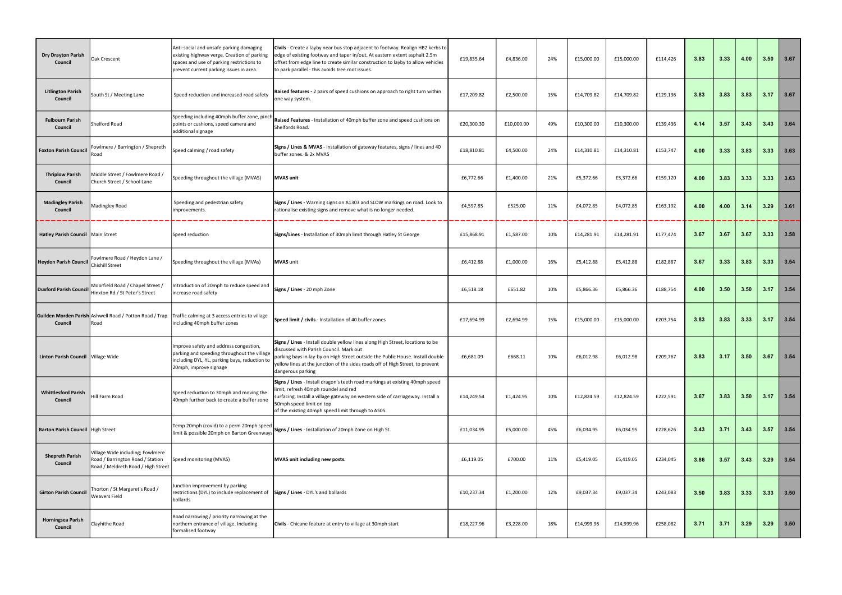| <b>Dry Drayton Parish</b><br>Council  | <b>Oak Crescent</b>                                                                                        | Anti-social and unsafe parking damaging<br>existing highway verge. Creation of parking<br>spaces and use of parking restrictions to<br>prevent current parking issues in area. | Civils - Create a layby near bus stop adjacent to footway. Realign HB2 kerbs to<br>edge of existing footway and taper in/out. At eastern extent asphalt 2.5m<br>offset from edge line to create similar construction to layby to allow vehicles<br>to park parallel - this avoids tree root issues.                | £19,835.64 | £4,836.00  | 24% | £15,000.00 | £15,000.00 | £114,426 | 3.83 | 3.33 | 4.00 | 3.50 | 3.67 |
|---------------------------------------|------------------------------------------------------------------------------------------------------------|--------------------------------------------------------------------------------------------------------------------------------------------------------------------------------|--------------------------------------------------------------------------------------------------------------------------------------------------------------------------------------------------------------------------------------------------------------------------------------------------------------------|------------|------------|-----|------------|------------|----------|------|------|------|------|------|
| <b>Litlington Parish</b><br>Council   | South St / Meeting Lane                                                                                    | Speed reduction and increased road safety                                                                                                                                      | Raised features - 2 pairs of speed cushions on approach to right turn within<br>one way system.                                                                                                                                                                                                                    | £17,209.82 | £2,500.00  | 15% | £14,709.82 | £14,709.82 | £129,136 | 3.83 | 3.83 | 3.83 | 3.17 | 3.67 |
| <b>Fulbourn Parish</b><br>Council     | Shelford Road                                                                                              | Speeding including 40mph buffer zone, pinch<br>points or cushions, speed camera and<br>additional signage                                                                      | Raised Features - Installation of 40mph buffer zone and speed cushions on<br>Shelfords Road.                                                                                                                                                                                                                       | £20,300.30 | £10,000.00 | 49% | £10,300.00 | £10,300.00 | £139,436 | 4.14 | 3.57 | 3.43 | 3.43 | 3.64 |
| Foxton Parish Council                 | Fowlmere / Barrington / Shepreth<br>Road                                                                   | Speed calming / road safety                                                                                                                                                    | Signs / Lines & MVAS - Installation of gateway features, signs / lines and 40<br>buffer zones. & 2x MVAS                                                                                                                                                                                                           | £18,810.81 | £4,500.00  | 24% | £14,310.81 | £14,310.81 | £153,747 | 4.00 | 3.33 | 3.83 | 3.33 | 3.63 |
| <b>Thriplow Parish</b><br>Council     | Middle Street / Fowlmere Road /<br>Church Street / School Lane                                             | Speeding throughout the village (MVAS)                                                                                                                                         | <b>MVAS</b> unit                                                                                                                                                                                                                                                                                                   | £6,772.66  | £1,400.00  | 21% | £5,372.66  | £5,372.66  | £159,120 | 4.00 | 3.83 | 3.33 | 3.33 | 3.63 |
| <b>Madingley Parish</b><br>Council    | Madingley Road                                                                                             | Speeding and pedestrian safety<br>mprovements.                                                                                                                                 | Signs / Lines - Warning signs on A1303 and SLOW markings on road. Look to<br>rationalise existing signs and remove what is no longer needed.                                                                                                                                                                       | £4,597.85  | £525.00    | 11% | £4,072.85  | £4,072.85  | £163,192 | 4.00 | 4.00 | 3.14 | 3.29 | 3.61 |
| Hatley Parish Council   Main Street   |                                                                                                            | Speed reduction                                                                                                                                                                | Signs/Lines - Installation of 30mph limit through Hatley St George                                                                                                                                                                                                                                                 | £15,868.91 | £1,587.00  | 10% | £14,281.91 | £14,281.91 | £177,474 | 3.67 | 3.67 | 3.67 | 3.33 | 3.58 |
| <b>Heydon Parish Council</b>          | Fowlmere Road / Heydon Lane /<br>Chishill Street                                                           | Speeding throughout the village (MVAs)                                                                                                                                         | MVAS unit                                                                                                                                                                                                                                                                                                          | £6,412.88  | £1,000.00  | 16% | £5,412.88  | £5,412.88  | £182,887 | 3.67 | 3.33 | 3.83 | 3.33 | 3.54 |
| <b>Duxford Parish Council</b>         | Moorfield Road / Chapel Street /<br>Hinxton Rd / St Peter's Street                                         | Introduction of 20mph to reduce speed and<br>increase road safety                                                                                                              | Signs / Lines - 20 mph Zone                                                                                                                                                                                                                                                                                        | £6,518.18  | £651.82    | 10% | £5,866.36  | £5,866.36  | £188,754 | 4.00 | 3.50 | 3.50 | 3.17 | 3.54 |
| Council                               | Guilden Morden Parish Ashwell Road / Potton Road / Trap<br>Road                                            | Traffic calming at 3 access entries to village<br>including 40mph buffer zones                                                                                                 | Speed limit / civils - Installation of 40 buffer zones                                                                                                                                                                                                                                                             | £17,694.99 | £2,694.99  | 15% | £15,000.00 | £15,000.00 | £203,754 | 3.83 | 3.83 | 3.33 | 3.17 | 3.54 |
| Linton Parish Council Village Wide    |                                                                                                            | Improve safety and address congestion,<br>parking and speeding throughout the village<br>including DYL, YL, parking bays, reduction to<br>20mph, improve signage               | Signs / Lines - Install double yellow lines along High Street, locations to be<br>discussed with Parish Council. Mark out<br>parking bays in lay-by on High Street outside the Public House. Install double<br>yellow lines at the junction of the sides roads off of High Street, to prevent<br>dangerous parking | £6,681.09  | £668.11    | 10% | £6,012.98  | £6,012.98  | £209,767 | 3.83 | 3.17 | 3.50 | 3.67 | 3.54 |
| <b>Whittlesford Parish</b><br>Council | lill Farm Road                                                                                             | Speed reduction to 30mph and moving the<br>40mph further back to create a buffer zone                                                                                          | Signs / Lines - Install dragon's teeth road markings at existing 40mph speed<br>limit, refresh 40mph roundel and red<br>surfacing. Install a village gateway on western side of carriageway. Install a<br>50mph speed limit on top<br>of the existing 40mph speed limit through to A505.                           | £14,249.54 | £1,424.95  | 10% | £12,824.59 | £12,824.59 | £222,591 | 3.67 | 3.83 | 3.50 | 3.17 | 3.54 |
| Barton Parish Council   High Street   |                                                                                                            | Temp 20mph (covid) to a perm 20mph speed<br>limit & possible 20mph on Barton Greenways                                                                                         | Signs / Lines - Installation of 20mph Zone on High St.                                                                                                                                                                                                                                                             | £11,034.95 | £5,000.00  | 45% | £6,034.95  | £6,034.95  | £228,626 | 3.43 | 3.71 | 3.43 | 3.57 | 3.54 |
| <b>Shepreth Parish</b><br>Council     | Village Wide including; Fowlmere<br>Road / Barrington Road / Station<br>Road / Meldreth Road / High Street | Speed monitoring (MVAS)                                                                                                                                                        | MVAS unit including new posts.                                                                                                                                                                                                                                                                                     | £6,119.05  | £700.00    | 11% | £5,419.05  | £5,419.05  | £234,045 | 3.86 | 3.57 | 3.43 | 3.29 | 3.54 |
| <b>Girton Parish Council</b>          | Thorton / St Margaret's Road /<br><b>Weavers Field</b>                                                     | Junction improvement by parking<br>restrictions (DYL) to include replacement of<br>bollards                                                                                    | Signs / Lines - DYL's and bollards                                                                                                                                                                                                                                                                                 | £10,237.34 | £1,200.00  | 12% | £9,037.34  | £9,037.34  | £243,083 | 3.50 | 3.83 | 3.33 | 3.33 | 3.50 |
| <b>Horningsea Parish</b><br>Council   | Clayhithe Road                                                                                             | Road narrowing / priority narrowing at the<br>northern entrance of village. Including<br>formalised footway                                                                    | Civils - Chicane feature at entry to village at 30mph start                                                                                                                                                                                                                                                        | £18,227.96 | £3,228.00  | 18% | £14,999.96 | £14,999.96 | £258,082 | 3.71 | 3.71 | 3.29 | 3.29 | 3.50 |